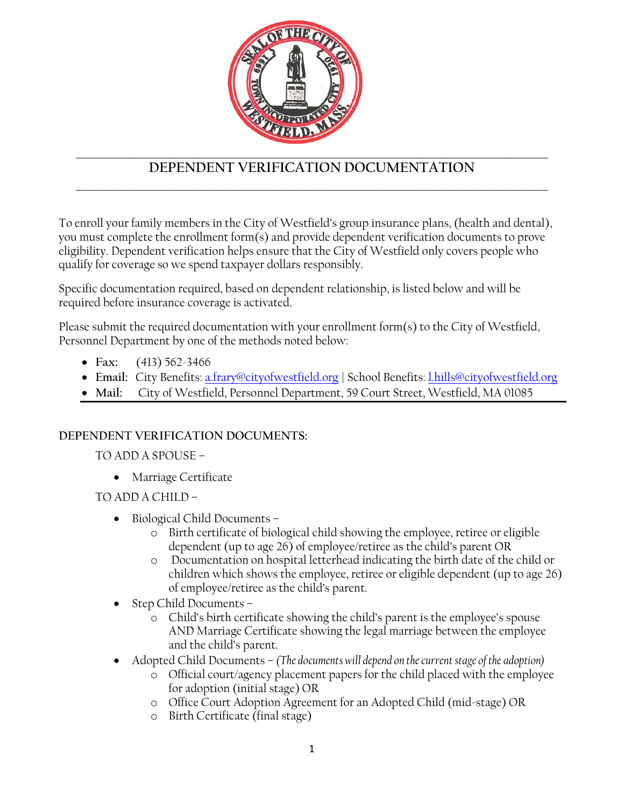

## **DEPENDENT VERIFICATION DOCUMENTATION** \_\_\_\_\_\_\_\_\_\_\_\_\_\_\_\_\_\_\_\_\_\_\_\_\_\_\_\_\_\_\_\_\_\_\_\_\_\_\_\_\_\_\_\_\_\_\_\_\_\_\_\_\_\_\_\_\_\_\_\_\_\_\_\_\_\_\_\_\_\_\_\_\_\_\_\_\_\_\_\_\_\_\_\_\_\_\_\_

To enroll your family members in the City of Westfield's group insurance plans, (health and dental), you must complete the enrollment form(s) and provide dependent verification documents to prove eligibility. Dependent verification helps ensure that the City of Westfield only covers people who qualify for coverage so we spend taxpayer dollars responsibly.

Specific documentation required, based on dependent relationship, is listed below and will be required before insurance coverage is activated.

Please submit the required documentation with your enrollment form(s) to the City of Westfield, Personnel Department by one of the methods noted below:

- **Fax:** (413) 562-3466
- **Email:** City Benefits: [a.frary@cityofwestfield.org](mailto:a.frary@cityofwestfield.org) | School Benefits: [l.hills@cityofwestfield.org](mailto:l.hills@cityofwestfield.org)
- **Mail:** City of Westfield, Personnel Department, 59 Court Street, Westfield, MA 01085

## **DEPENDENT VERIFICATION DOCUMENTS:**

TO ADD A SPOUSE –

Marriage Certificate

TO ADD A CHILD –

- Biological Child Documents
	- o Birth certificate of biological child showing the employee, retiree or eligible dependent (up to age 26) of employee/retiree as the child's parent OR
	- o Documentation on hospital letterhead indicating the birth date of the child or children which shows the employee, retiree or eligible dependent (up to age 26) of employee/retiree as the child's parent.
- Step Child Documents
	- o Child's birth certificate showing the child's parent is the employee's spouse AND Marriage Certificate showing the legal marriage between the employee and the child's parent.
- Adopted Child Documents *(The documents will depend on the current stage of the adoption)*
	- o Official court/agency placement papers for the child placed with the employee for adoption (initial stage) OR
	- o Office Court Adoption Agreement for an Adopted Child (mid-stage) OR
	- o Birth Certificate (final stage)